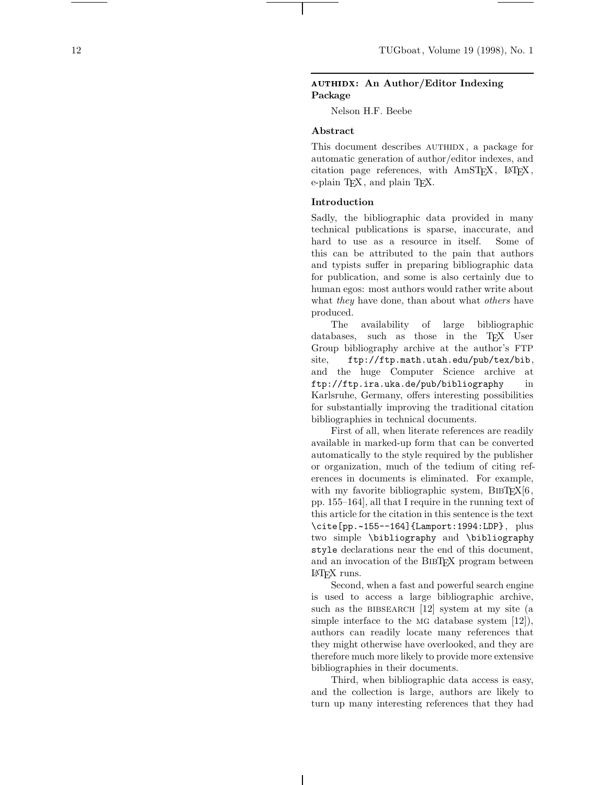# authidx**: An Author/Editor Indexing Package**

Nelson H.F. Beebe

## **Abstract**

This document describes AUTHIDX, a package for automatic generation of author/editor indexes, and citation page references, with AmSTEX, LATEX, e-plain T<sub>F</sub>X, and plain T<sub>F</sub>X.

## **Introduction**

Sadly, the bibliographic data provided in many technical publications is sparse, inaccurate, and hard to use as a resource in itself. Some of this can be attributed to the pain that authors and typists suffer in preparing bibliographic data for publication, and some is also certainly due to human egos: most authors would rather write about what they have done, than about what *others* have produced.

The availability of large bibliographic databases, such as those in the TEX User Group bibliography archive at the author's FTP site, ftp://ftp.math.utah.edu/pub/tex/bib, and the huge Computer Science archive at ftp://ftp.ira.uka.de/pub/bibliography in Karlsruhe, Germany, offers interesting possibilities for substantially improving the traditional citation bibliographies in technical documents.

First of all, when literate references are readily available in marked-up form that can be converted automatically to the style required by the publisher or organization, much of the tedium of citing references in documents is eliminated. For example, with my favorite bibliographic system,  $BIBT<sub>F</sub>X[6$ , pp. 155–164], all that I require in the running text of this article for the citation in this sentence is the text \cite[pp.~155--164]{Lamport:1994:LDP}, plus two simple \bibliography and \bibliography style declarations near the end of this document, and an invocation of the BibTEX program between LATEX runs.

Second, when a fast and powerful search engine is used to access a large bibliographic archive, such as the BIBSEARCH  $[12]$  system at my site (a simple interface to the MG database system [12]), authors can readily locate many references that they might otherwise have overlooked, and they are therefore much more likely to provide more extensive bibliographies in their documents.

Third, when bibliographic data access is easy, and the collection is large, authors are likely to turn up many interesting references that they had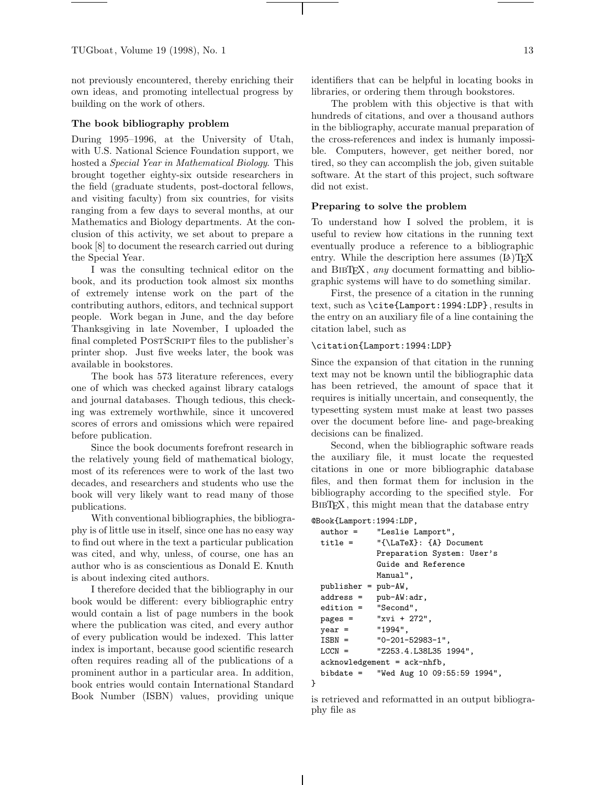not previously encountered, thereby enriching their own ideas, and promoting intellectual progress by building on the work of others.

#### **The book bibliography problem**

During 1995–1996, at the University of Utah, with U.S. National Science Foundation support, we hosted a Special Year in Mathematical Biology. This brought together eighty-six outside researchers in the field (graduate students, post-doctoral fellows, and visiting faculty) from six countries, for visits ranging from a few days to several months, at our Mathematics and Biology departments. At the conclusion of this activity, we set about to prepare a book [8] to document the research carried out during the Special Year.

I was the consulting technical editor on the book, and its production took almost six months of extremely intense work on the part of the contributing authors, editors, and technical support people. Work began in June, and the day before Thanksgiving in late November, I uploaded the final completed POSTSCRIPT files to the publisher's printer shop. Just five weeks later, the book was available in bookstores.

The book has 573 literature references, every one of which was checked against library catalogs and journal databases. Though tedious, this checking was extremely worthwhile, since it uncovered scores of errors and omissions which were repaired before publication.

Since the book documents forefront research in the relatively young field of mathematical biology, most of its references were to work of the last two decades, and researchers and students who use the book will very likely want to read many of those publications.

With conventional bibliographies, the bibliography is of little use in itself, since one has no easy way to find out where in the text a particular publication was cited, and why, unless, of course, one has an author who is as conscientious as Donald E. Knuth is about indexing cited authors.

I therefore decided that the bibliography in our book would be different: every bibliographic entry would contain a list of page numbers in the book where the publication was cited, and every author of every publication would be indexed. This latter index is important, because good scientific research often requires reading all of the publications of a prominent author in a particular area. In addition, book entries would contain International Standard Book Number (ISBN) values, providing unique

identifiers that can be helpful in locating books in libraries, or ordering them through bookstores.

The problem with this objective is that with hundreds of citations, and over a thousand authors in the bibliography, accurate manual preparation of the cross-references and index is humanly impossible. Computers, however, get neither bored, nor tired, so they can accomplish the job, given suitable software. At the start of this project, such software did not exist.

## **Preparing to solve the problem**

To understand how I solved the problem, it is useful to review how citations in the running text eventually produce a reference to a bibliographic entry. While the description here assumes  $(E)$ T<sub>F</sub>X and BIBT<sub>E</sub>X, *any* document formatting and bibliographic systems will have to do something similar.

First, the presence of a citation in the running text, such as \cite{Lamport:1994:LDP}, results in the entry on an auxiliary file of a line containing the citation label, such as

## \citation{Lamport:1994:LDP}

Since the expansion of that citation in the running text may not be known until the bibliographic data has been retrieved, the amount of space that it requires is initially uncertain, and consequently, the typesetting system must make at least two passes over the document before line- and page-breaking decisions can be finalized.

Second, when the bibliographic software reads the auxiliary file, it must locate the requested citations in one or more bibliographic database files, and then format them for inclusion in the bibliography according to the specified style. For BIBTFX, this might mean that the database entry

#### @Book{Lamport:1994:LDP,

}

| $\text{author} =$     | "Leslie Lamport",                       |
|-----------------------|-----------------------------------------|
| $title =$             | "{\LaTeX}: {A} Document                 |
|                       | Preparation System: User's              |
|                       | Guide and Reference                     |
|                       | Manual",                                |
| $publicer = pub-AW,$  |                                         |
| $address =$           | pub-AW:adr,                             |
| $edition = "Second",$ |                                         |
| $pages =$             | " $xvi + 272$ ",                        |
| $year =$              | "1994".                                 |
| $ISBN =$              | $"0-201-52983-1"$                       |
| $LCCN =$              | "Z253.4.L38L35 1994",                   |
|                       | $acknowledgement = ack-nhfb$ ,          |
|                       | bibdate = "Wed Aug 10 $09:55:59$ 1994", |
|                       |                                         |

is retrieved and reformatted in an output bibliography file as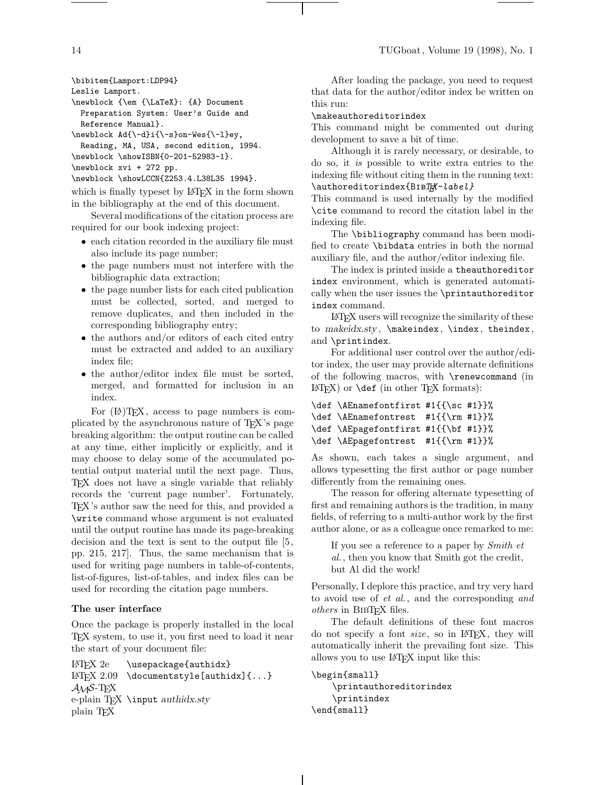```
\bibitem{Lamport:LDP94}
```

```
Leslie Lamport.
```
\newblock {\em {\LaTeX}: {A} Document Preparation System: User's Guide and Reference Manual}.

```
\newblock Ad{\-d}i{\-s}on-Wes{\-l}ey,
```

```
Reading, MA, USA, second edition, 1994.
```
\newblock \showISBN{0-201-52983-1}.

```
\newblock xvi + 272 pp.
```

```
\newblock \showLCCN{Z253.4.L38L35 1994}.
```
which is finally typeset by LATEX in the form shown in the bibliography at the end of this document.

Several modifications of the citation process are required for our book indexing project:

- each citation recorded in the auxiliary file must also include its page number;
- the page numbers must not interfere with the bibliographic data extraction;
- the page number lists for each cited publication must be collected, sorted, and merged to remove duplicates, and then included in the corresponding bibliography entry;
- the authors and/or editors of each cited entry must be extracted and added to an auxiliary index file;
- the author/editor index file must be sorted, merged, and formatted for inclusion in an index.

For  $(A)$ TEX, access to page numbers is complicated by the asynchronous nature of TEX's page breaking algorithm: the output routine can be called at any time, either implicitly or explicitly, and it may choose to delay some of the accumulated potential output material until the next page. Thus, TEX does not have a single variable that reliably records the 'current page number'. Fortunately, TEX's author saw the need for this, and provided a \write command whose argument is not evaluated until the output routine has made its page-breaking decision and the text is sent to the output file [5, pp. 215, 217]. Thus, the same mechanism that is used for writing page numbers in table-of-contents, list-of-figures, list-of-tables, and index files can be used for recording the citation page numbers.

## **The user interface**

Once the package is properly installed in the local TEX system, to use it, you first need to load it near the start of your document file:

LAT<sub>E</sub>X 2e \usepackage{authidx} LAT<sub>EX</sub> 2.09 \documentstyle[authidx]{...}  $\mathcal{A}_{\mathcal{M}}$ S-T<sub>F</sub>X e-plain TEX \input *authidx.sty* plain TEX

After loading the package, you need to request that data for the author/editor index be written on this run:

\makeauthoreditorindex

This command might be commented out during development to save a bit of time.

Although it is rarely necessary, or desirable, to do so, it is possible to write extra entries to the indexing file without citing them in the running text: \authoreditorindex{BIBT#X-label}

This command is used internally by the modified \cite command to record the citation label in the indexing file.

The \bibliography command has been modified to create \bibdata entries in both the normal auxiliary file, and the author/editor indexing file.

The index is printed inside a theauthoreditor index environment, which is generated automatically when the user issues the \printauthoreditor index command.

LATEX users will recognize the similarity of these to *makeidx.sty* , \makeindex, \index, theindex, and \printindex.

For additional user control over the author/editor index, the user may provide alternate definitions of the following macros, with \renewcommand (in  $LATFX$ ) or  $\det$  (in other TFX formats):

```
\def \AEnamefontfirst #1{{\sc #1}}%
\def \AEnamefontrest #1{{\rm #1}}%
\def \AEpagefontfirst #1{{\bf #1}}%
\def \AEpagefontrest #1{{\rm #1}}%
```
As shown, each takes a single argument, and allows typesetting the first author or page number differently from the remaining ones.

The reason for offering alternate typesetting of first and remaining authors is the tradition, in many fields, of referring to a multi-author work by the first author alone, or as a colleague once remarked to me:

If you see a reference to a paper by Smith et al., then you know that Smith got the credit, but Al did the work!

Personally, I deplore this practice, and try very hard to avoid use of et al., and the corresponding and others in BIBTFX files.

The default definitions of these font macros do not specify a font *size*, so in IAT<sub>E</sub>X, they will automatically inherit the prevailing font size. This allows you to use LATEX input like this:

```
\begin{small}
    \printauthoreditorindex
    \printindex
\end{small}
```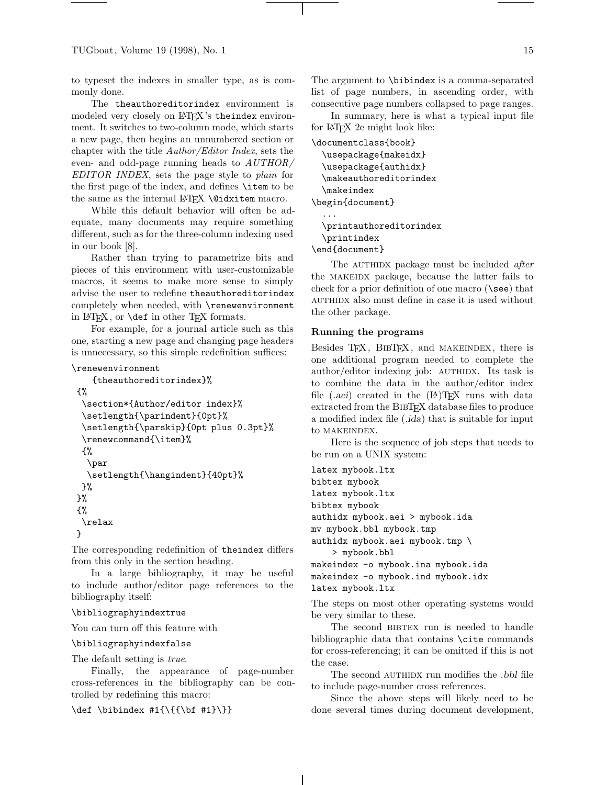to typeset the indexes in smaller type, as is commonly done.

The theauthoreditorindex environment is modeled very closely on LAT<sub>EX</sub>'s theindex environment. It switches to two-column mode, which starts a new page, then begins an unnumbered section or chapter with the title Author/Editor Index, sets the even- and odd-page running heads to AUTHOR/ EDITOR INDEX, sets the page style to plain for the first page of the index, and defines \item to be the same as the internal LAT<sub>EX</sub> \@didxitem macro.

While this default behavior will often be adequate, many documents may require something different, such as for the three-column indexing used in our book [8].

Rather than trying to parametrize bits and pieces of this environment with user-customizable macros, it seems to make more sense to simply advise the user to redefine theauthoreditorindex completely when needed, with \renewenvironment in LATEX, or \def in other TEX formats.

For example, for a journal article such as this one, starting a new page and changing page headers is unnecessary, so this simple redefinition suffices:

# \renewenvironment

```
{theauthoreditorindex}%
{%
\section*{Author/editor index}%
\setlength{\parindent}{0pt}%
\setlength{\parskip}{0pt plus 0.3pt}%
\renewcommand{\item}%
{%
  \par
 \setlength{\hangindent}{40pt}%
}%
}%
{%
\relax
}
```
The corresponding redefinition of theindex differs from this only in the section heading.

In a large bibliography, it may be useful to include author/editor page references to the bibliography itself:

# \bibliographyindextrue

You can turn off this feature with

### \bibliographyindexfalse

The default setting is *true*.

Finally, the appearance of page-number cross-references in the bibliography can be controlled by redefining this macro:

\def \bibindex #1{\{{\bf #1}\}}

The argument to \bibindex is a comma-separated list of page numbers, in ascending order, with consecutive page numbers collapsed to page ranges.

In summary, here is what a typical input file for LATEX 2e might look like:

```
\documentclass{book}
  \usepackage{makeidx}
  \usepackage{authidx}
  \makeauthoreditorindex
 \makeindex
\begin{document}
  ...
```

```
\printauthoreditorindex
  \printindex
\end{document}
```
The AUTHIDX package must be included after the makeidx package, because the latter fails to check for a prior definition of one macro  $(\searrow)$  that authidx also must define in case it is used without the other package.

## **Running the programs**

Besides TEX, BIBTEX, and MAKEINDEX, there is one additional program needed to complete the author/editor indexing job: AUTHIDX. Its task is to combine the data in the author/editor index file (*.aei*) created in the (LA)TEX runs with data extracted from the BIBTEX database files to produce a modified index file (*.ida*) that is suitable for input to makeindex.

Here is the sequence of job steps that needs to be run on a UNIX system:

latex mybook.ltx bibtex mybook latex mybook.ltx bibtex mybook authidx mybook.aei > mybook.ida mv mybook.bbl mybook.tmp authidx mybook.aei mybook.tmp \ > mybook.bbl makeindex -o mybook.ina mybook.ida makeindex -o mybook.ind mybook.idx latex mybook.ltx

The steps on most other operating systems would be very similar to these.

The second BIBTEX run is needed to handle bibliographic data that contains \cite commands for cross-referencing; it can be omitted if this is not the case.

The second AUTHIDX run modifies the *.bbl* file to include page-number cross references.

Since the above steps will likely need to be done several times during document development,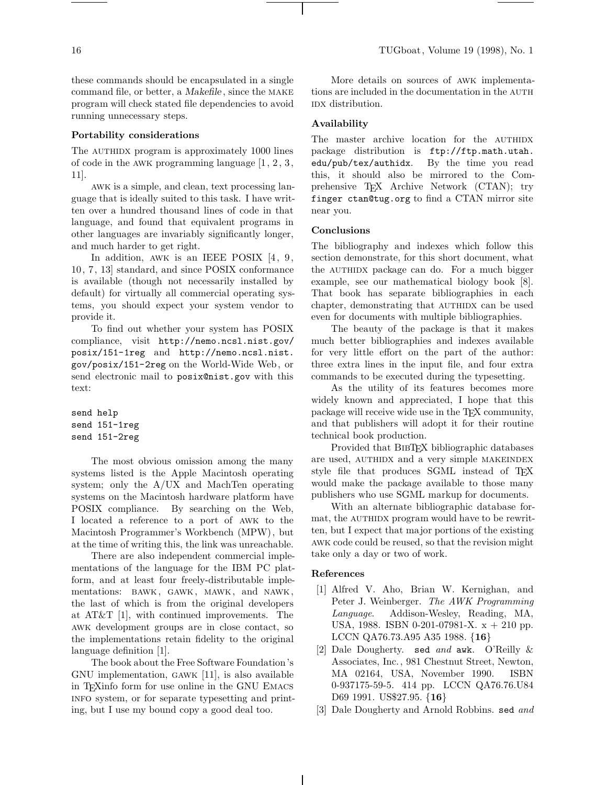these commands should be encapsulated in a single command file, or better, a *Makefile* , since the make program will check stated file dependencies to avoid running unnecessary steps.

## **Portability considerations**

The AUTHIDX program is approximately 1000 lines of code in the awk programming language [1, 2, 3, 11].

awk is a simple, and clean, text processing language that is ideally suited to this task. I have written over a hundred thousand lines of code in that language, and found that equivalent programs in other languages are invariably significantly longer, and much harder to get right.

In addition, AWK is an IEEE POSIX [4, 9, 10, 7, 13] standard, and since POSIX conformance is available (though not necessarily installed by default) for virtually all commercial operating systems, you should expect your system vendor to provide it.

To find out whether your system has POSIX compliance, visit http://nemo.ncsl.nist.gov/ posix/151-1reg and http://nemo.ncsl.nist. gov/posix/151-2reg on the World-Wide Web, or send electronic mail to posix@nist.gov with this text:

send help send 151-1reg send 151-2reg

The most obvious omission among the many systems listed is the Apple Macintosh operating system; only the A/UX and MachTen operating systems on the Macintosh hardware platform have POSIX compliance. By searching on the Web, I located a reference to a port of awk to the Macintosh Programmer's Workbench (MPW), but at the time of writing this, the link was unreachable.

There are also independent commercial implementations of the language for the IBM PC platform, and at least four freely-distributable implementations: bawk, gawk, mawk, and nawk, the last of which is from the original developers at AT&T [1], with continued improvements. The awk development groups are in close contact, so the implementations retain fidelity to the original language definition [1].

The book about the Free Software Foundation's GNU implementation, gawk [11], is also available in TEXinfo form for use online in the GNU Emacs info system, or for separate typesetting and printing, but I use my bound copy a good deal too.

More details on sources of awk implementations are included in the documentation in the AUTH IDX distribution.

### **Availability**

The master archive location for the AUTHIDX package distribution is ftp://ftp.math.utah. edu/pub/tex/authidx. By the time you read this, it should also be mirrored to the Comprehensive T<sub>EX</sub> Archive Network (CTAN); try finger ctan@tug.org to find a CTAN mirror site near you.

### **Conclusions**

The bibliography and indexes which follow this section demonstrate, for this short document, what the AUTHIDX package can do. For a much bigger example, see our mathematical biology book [8]. That book has separate bibliographies in each chapter, demonstrating that AUTHIDX can be used even for documents with multiple bibliographies.

The beauty of the package is that it makes much better bibliographies and indexes available for very little effort on the part of the author: three extra lines in the input file, and four extra commands to be executed during the typesetting.

As the utility of its features becomes more widely known and appreciated, I hope that this package will receive wide use in the TEX community, and that publishers will adopt it for their routine technical book production.

Provided that BIBTEX bibliographic databases are used, AUTHIDX and a very simple MAKEINDEX style file that produces SGML instead of T<sub>E</sub>X would make the package available to those many publishers who use SGML markup for documents.

With an alternate bibliographic database format, the AUTHIDX program would have to be rewritten, but I expect that major portions of the existing awk code could be reused, so that the revision might take only a day or two of work.

## **References**

- [1] Alfred V. Aho, Brian W. Kernighan, and Peter J. Weinberger. The AWK Programming Language. Addison-Wesley, Reading, MA, USA, 1988. ISBN 0-201-07981-X. x + 210 pp. LCCN QA76.73.A95 A35 1988. {**16**}
- [2] Dale Dougherty. sed and awk. O'Reilly & Associates, Inc., 981 Chestnut Street, Newton, MA 02164, USA, November 1990. ISBN 0-937175-59-5. 414 pp. LCCN QA76.76.U84 D69 1991. US\$27.95. {**16**}
- [3] Dale Dougherty and Arnold Robbins. sed and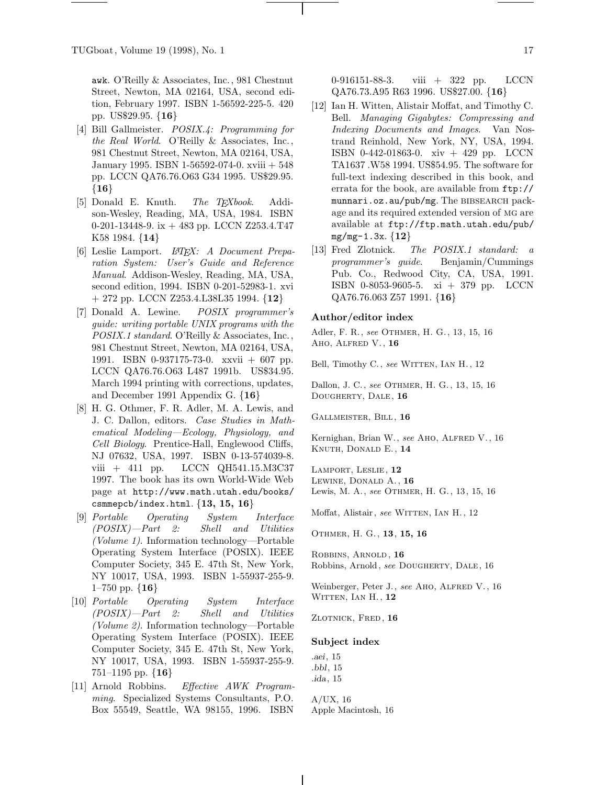awk. O'Reilly & Associates, Inc., 981 Chestnut Street, Newton, MA 02164, USA, second edition, February 1997. ISBN 1-56592-225-5. 420 pp. US\$29.95. {**16**}

- [4] Bill Gallmeister. POSIX.4: Programming for the Real World. O'Reilly & Associates, Inc., 981 Chestnut Street, Newton, MA 02164, USA, January 1995. ISBN 1-56592-074-0. xviii + 548 pp. LCCN QA76.76.O63 G34 1995. US\$29.95. {**16**}
- [5] Donald E. Knuth. The TEXbook. Addison-Wesley, Reading, MA, USA, 1984. ISBN 0-201-13448-9. ix + 483 pp. LCCN Z253.4.T47 K58 1984. {**14**}
- [6] Leslie Lamport. L<sup>AT</sup>FX: A Document Preparation System: User's Guide and Reference Manual. Addison-Wesley, Reading, MA, USA, second edition, 1994. ISBN 0-201-52983-1. xvi + 272 pp. LCCN Z253.4.L38L35 1994. {**12**}
- [7] Donald A. Lewine. POSIX programmer's guide: writing portable UNIX programs with the POSIX.1 standard. O'Reilly & Associates, Inc., 981 Chestnut Street, Newton, MA 02164, USA, 1991. ISBN 0-937175-73-0. xxvii + 607 pp. LCCN QA76.76.O63 L487 1991b. US\$34.95. March 1994 printing with corrections, updates, and December 1991 Appendix G. {**16**}
- [8] H. G. Othmer, F. R. Adler, M. A. Lewis, and J. C. Dallon, editors. Case Studies in Mathematical Modeling—Ecology, Physiology, and Cell Biology. Prentice-Hall, Englewood Cliffs, NJ 07632, USA, 1997. ISBN 0-13-574039-8. viii + 411 pp. LCCN QH541.15.M3C37 1997. The book has its own World-Wide Web page at http://www.math.utah.edu/books/ csmmepcb/index.html. {**13, 15, 16**}
- [9] Portable Operating System Interface (POSIX)—Part 2: Shell and Utilities (Volume 1). Information technology—Portable Operating System Interface (POSIX). IEEE Computer Society, 345 E. 47th St, New York, NY 10017, USA, 1993. ISBN 1-55937-255-9. 1–750 pp. {**16**}
- [10] Portable Operating System Interface (POSIX)—Part 2: Shell and Utilities (Volume 2). Information technology—Portable Operating System Interface (POSIX). IEEE Computer Society, 345 E. 47th St, New York, NY 10017, USA, 1993. ISBN 1-55937-255-9. 751–1195 pp. {**16**}
- [11] Arnold Robbins. Effective AWK Programming. Specialized Systems Consultants, P.O. Box 55549, Seattle, WA 98155, 1996. ISBN

0-916151-88-3. viii + 322 pp. LCCN QA76.73.A95 R63 1996. US\$27.00. {**16**}

- [12] Ian H. Witten, Alistair Moffat, and Timothy C. Bell. Managing Gigabytes: Compressing and Indexing Documents and Images. Van Nostrand Reinhold, New York, NY, USA, 1994. ISBN 0-442-01863-0. xiv + 429 pp. LCCN TA1637 .W58 1994. US\$54.95. The software for full-text indexing described in this book, and errata for the book, are available from ftp:// munnari.oz.au/pub/mg. The BIBSEARCH package and its required extended version of mg are available at ftp://ftp.math.utah.edu/pub/ mg/mg-1.3x. {**12**}
- [13] Fred Zlotnick.  $The POSIX.1 standard:$ programmer's guide. Benjamin/Cummings Pub. Co., Redwood City, CA, USA, 1991. ISBN 0-8053-9605-5. xi + 379 pp. LCCN QA76.76.063 Z57 1991. {**16**}

### **Author/editor index**

Adler, F. R., see Othmer, H. G., 13, 15, 16 Aho, Alfred V., **16**

Bell, Timothy C., see WITTEN, IAN H., 12

Dallon, J. C., see Othmer, H. G., 13, 15, 16 Dougherty, Dale, **16**

Gallmeister, Bill, **16**

Kernighan, Brian W., see AHO, ALFRED V., 16 Knuth, Donald E., **14**

Lamport, Leslie, **12** Lewine, Donald A., **16** Lewis, M. A., see OTHMER, H. G., 13, 15, 16

Moffat, Alistair, see WITTEN, IAN H., 12

Othmer, H. G., **13**, **15, 16**

Robbins, Arnold, **16** Robbins, Arnold, see DOUGHERTY, DALE, 16

Weinberger, Peter J., see AHO, ALFRED V., 16 Witten, Ian H., **12**

Zlotnick, Fred, **16**

#### **Subject index**

*.aei*, 15 *.bbl*, 15 *.ida*, 15

A/UX, 16 Apple Macintosh, 16